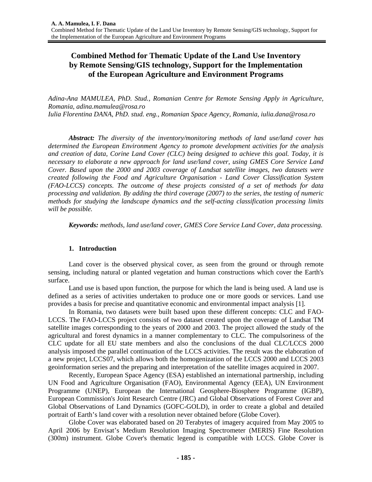## **Combined Method for Thematic Update of the Land Use Inventory by Remote Sensing/GIS technology, Support for the Implementation of the European Agriculture and Environment Programs**

*Adina-Ana MAMULEA, PhD. Stud., Romanian Centre for Remote Sensing Apply in Agriculture, Romania, adina.mamulea@rosa.ro Iulia Florentina DANA, PhD. stud. eng., Romanian Space Agency, Romania, iulia.dana@rosa.ro* 

*Abstract: The diversity of the inventory/monitoring methods of land use/land cover has determined the European Environment Agency to promote development activities for the analysis and creation of data, Corine Land Cover (CLC) being designed to achieve this goal. Today, it is necessary to elaborate a new approach for land use/land cover, using GMES Core Service Land Cover. Based upon the 2000 and 2003 coverage of Landsat satellite images, two datasets were created following the Food and Agriculture Organisation - Land Cover Classification System (FAO-LCCS) concepts. The outcome of these projects consisted of a set of methods for data processing and validation. By adding the third coverage (2007) to the series, the testing of numeric methods for studying the landscape dynamics and the self-acting classification processing limits will be possible.* 

*Keywords: methods, land use/land cover, GMES Core Service Land Cover, data processing.* 

#### **1. Introduction**

Land cover is the observed physical cover, as seen from the ground or through remote sensing, including natural or planted vegetation and human constructions which cover the Earth's surface.

Land use is based upon function, the purpose for which the land is being used. A land use is defined as a series of activities undertaken to produce one or more goods or services. Land use provides a basis for precise and quantitative economic and environmental impact analysis [1].

In Romania, two datasets were built based upon these different concepts: CLC and FAO-LCCS. The FAO-LCCS project consists of two dataset created upon the coverage of Landsat TM satellite images corresponding to the years of 2000 and 2003. The project allowed the study of the agricultural and forest dynamics in a manner complementary to CLC. The compulsoriness of the CLC update for all EU state members and also the conclusions of the dual CLC/LCCS 2000 analysis imposed the parallel continuation of the LCCS activities. The result was the elaboration of a new project, LCCS07, which allows both the homogenization of the LCCS 2000 and LCCS 2003 geoinformation series and the preparing and interpretation of the satellite images acquired in 2007.

Recently, European Space Agency (ESA) established an international partnership, including UN Food and Agriculture Organisation (FAO), Environmental Agency (EEA), UN Environment Programme (UNEP), European the International Geosphere-Biosphere Programme (IGBP), European Commission's Joint Research Centre (JRC) and Global Observations of Forest Cover and Global Observations of Land Dynamics (GOFC-GOLD), in order to create a global and detailed portrait of Earth's land cover with a resolution never obtained before (Globe Cover).

Globe Cover was elaborated based on 20 Terabytes of imagery acquired from May 2005 to April 2006 by Envisat's Medium Resolution Imaging Spectrometer (MERIS) Fine Resolution (300m) instrument. Globe Cover's thematic legend is compatible with LCCS. Globe Cover is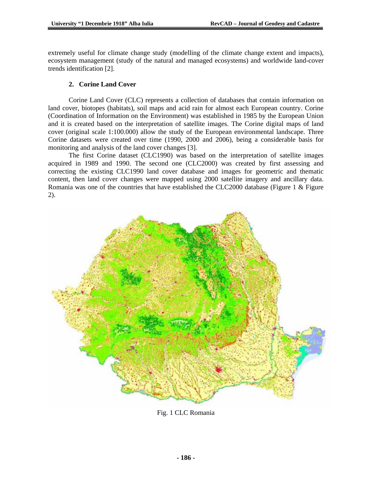extremely useful for climate change study (modelling of the climate change extent and impacts), ecosystem management (study of the natural and managed ecosystems) and worldwide land-cover trends identification [2].

### **2. Corine Land Cover**

Corine Land Cover (CLC) represents a collection of databases that contain information on land cover, biotopes (habitats), soil maps and acid rain for almost each European country. Corine (Coordination of Information on the Environment) was established in 1985 by the European Union and it is created based on the interpretation of satellite images. The Corine digital maps of land cover (original scale 1:100.000) allow the study of the European environmental landscape. Three Corine datasets were created over time (1990, 2000 and 2006), being a considerable basis for monitoring and analysis of the land cover changes [3].

The first Corine dataset (CLC1990) was based on the interpretation of satellite images acquired in 1989 and 1990. The second one (CLC2000) was created by first assessing and correcting the existing CLC1990 land cover database and images for geometric and thematic content, then land cover changes were mapped using 2000 satellite imagery and ancillary data. Romania was one of the countries that have established the CLC2000 database (Figure 1 & Figure 2).



Fig. 1 CLC Romania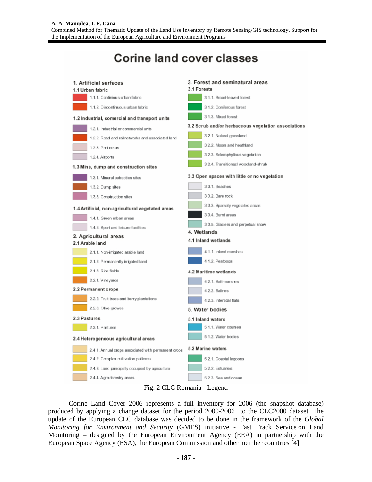# Corine land cover classes



Fig. 2 CLC Romania - Legend

Corine Land Cover 2006 represents a full inventory for 2006 (the snapshot database) produced by applying a change dataset for the period 2000-2006 to the CLC2000 dataset. The update of the European CLC database was decided to be done in the framework of the *Global Monitoring for Environment and Security* (GMES) initiative - Fast Track Service on Land Monitoring – designed by the European Environment Agency (EEA) in partnership with the European Space Agency (ESA), the European Commission and other member countries [4].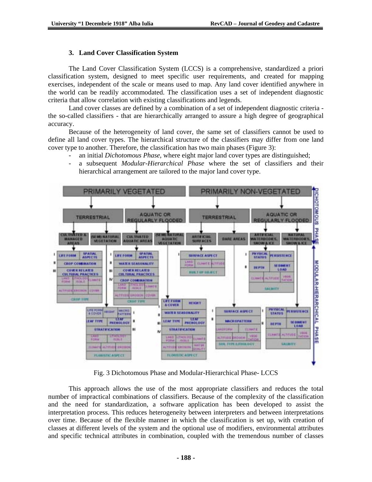#### **3. Land Cover Classification System**

The Land Cover Classification System (LCCS) is a comprehensive, standardized a priori classification system, designed to meet specific user requirements, and created for mapping exercises, independent of the scale or means used to map. Any land cover identified anywhere in the world can be readily accommodated. The classification uses a set of independent diagnostic criteria that allow correlation with existing classifications and legends.

Land cover classes are defined by a combination of a set of independent diagnostic criteria the so-called classifiers - that are hierarchically arranged to assure a high degree of geographical accuracy.

Because of the heterogeneity of land cover, the same set of classifiers cannot be used to define all land cover types. The hierarchical structure of the classifiers may differ from one land cover type to another. Therefore, the classification has two main phases (Figure 3):

- an initial *Dichotomous Phase*, where eight major land cover types are distinguished;
- a subsequent *Modular-Hierarchical Phase* where the set of classifiers and their hierarchical arrangement are tailored to the major land cover type.



Fig. 3 Dichotomous Phase and Modular-Hierarchical Phase- LCCS

This approach allows the use of the most appropriate classifiers and reduces the total number of impractical combinations of classifiers. Because of the complexity of the classification and the need for standardization, a software application has been developed to assist the interpretation process. This reduces heterogeneity between interpreters and between interpretations over time. Because of the flexible manner in which the classification is set up, with creation of classes at different levels of the system and the optional use of modifiers, environmental attributes and specific technical attributes in combination, coupled with the tremendous number of classes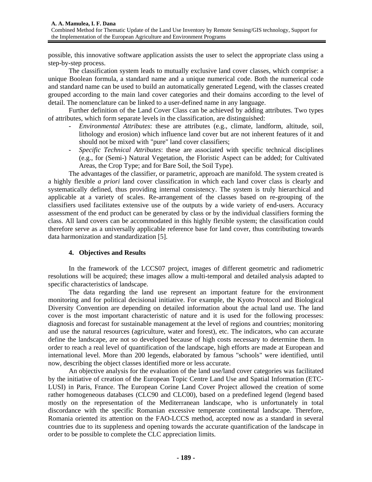possible, this innovative software application assists the user to select the appropriate class using a step-by-step process.

The classification system leads to mutually exclusive land cover classes, which comprise: a unique Boolean formula, a standard name and a unique numerical code. Both the numerical code and standard name can be used to build an automatically generated Legend, with the classes created grouped according to the main land cover categories and their domains according to the level of detail. The nomenclature can be linked to a user-defined name in any language.

Further definition of the Land Cover Class can be achieved by adding attributes. Two types of attributes, which form separate levels in the classification, are distinguished:

- *Environmental Attributes*: these are attributes (e.g., climate, landform, altitude, soil, lithology and erosion) which influence land cover but are not inherent features of it and should not be mixed with "pure" land cover classifiers;
- *Specific Technical Attributes*: these are associated with specific technical disciplines (e.g., for (Semi-) Natural Vegetation, the Floristic Aspect can be added; for Cultivated Areas, the Crop Type; and for Bare Soil, the Soil Type).

The advantages of the classifier, or parametric, approach are manifold. The system created is a highly flexible *a priori* land cover classification in which each land cover class is clearly and systematically defined, thus providing internal consistency. The system is truly hierarchical and applicable at a variety of scales. Re-arrangement of the classes based on re-grouping of the classifiers used facilitates extensive use of the outputs by a wide variety of end-users. Accuracy assessment of the end product can be generated by class or by the individual classifiers forming the class. All land covers can be accommodated in this highly flexible system; the classification could therefore serve as a universally applicable reference base for land cover, thus contributing towards data harmonization and standardization [5].

#### **4. Objectives and Results**

In the framework of the LCCS07 project, images of different geometric and radiometric resolutions will be acquired; these images allow a multi-temporal and detailed analysis adapted to specific characteristics of landscape.

The data regarding the land use represent an important feature for the environment monitoring and for political decisional initiative. For example, the Kyoto Protocol and Biological Diversity Convention are depending on detailed information about the actual land use. The land cover is the most important characteristic of nature and it is used for the following processes: diagnosis and forecast for sustainable management at the level of regions and countries; monitoring and use the natural resources (agriculture, water and forest), etc. The indicators, who can accurate define the landscape, are not so developed because of high costs necessary to determine them. In order to reach a real level of quantification of the landscape, high efforts are made at European and international level. More than 200 legends, elaborated by famous "schools" were identified, until now, describing the object classes identified more or less accurate.

An objective analysis for the evaluation of the land use/land cover categories was facilitated by the initiative of creation of the European Topic Centre Land Use and Spatial Information (ETC-LUSI) in Paris, France. The European Corine Land Cover Project allowed the creation of some rather homogeneous databases (CLC90 and CLC00), based on a predefined legend (legend based mostly on the representation of the Mediterranean landscape, who is unfortunately in total discordance with the specific Romanian excessive temperate continental landscape. Therefore, Romania oriented its attention on the FAO-LCCS method, accepted now as a standard in several countries due to its suppleness and opening towards the accurate quantification of the landscape in order to be possible to complete the CLC appreciation limits.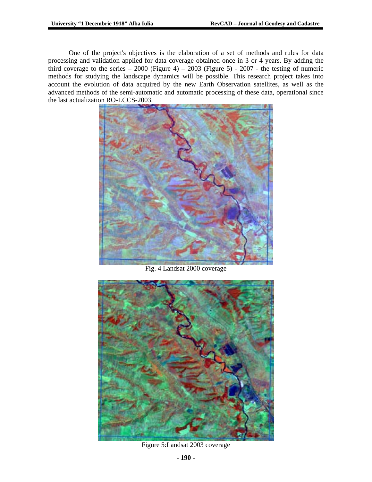One of the project's objectives is the elaboration of a set of methods and rules for data processing and validation applied for data coverage obtained once in 3 or 4 years. By adding the third coverage to the series  $-2000$  (Figure 4)  $-2003$  (Figure 5) - 2007 - the testing of numeric methods for studying the landscape dynamics will be possible. This research project takes into account the evolution of data acquired by the new Earth Observation satellites, as well as the advanced methods of the semi-automatic and automatic processing of these data, operational since the last actualization RO-LCCS-2003.



Fig. 4 Landsat 2000 coverage



Figure 5:Landsat 2003 coverage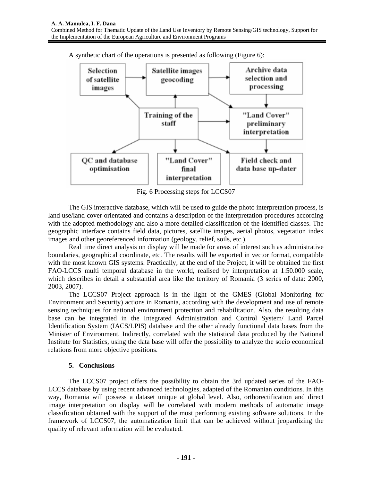

A synthetic chart of the operations is presented as following (Figure 6):

Fig. 6 Processing steps for LCCS07

The GIS interactive database, which will be used to guide the photo interpretation process, is land use/land cover orientated and contains a description of the interpretation procedures according with the adopted methodology and also a more detailed classification of the identified classes. The geographic interface contains field data, pictures, satellite images, aerial photos, vegetation index images and other georeferenced information (geology, relief, soils, etc.).

Real time direct analysis on display will be made for areas of interest such as administrative boundaries, geographical coordinate, etc. The results will be exported in vector format, compatible with the most known GIS systems. Practically, at the end of the Project, it will be obtained the first FAO-LCCS multi temporal database in the world, realised by interpretation at 1:50.000 scale, which describes in detail a substantial area like the territory of Romania (3 series of data: 2000, 2003, 2007).

The LCCS07 Project approach is in the light of the GMES (Global Monitoring for Environment and Security) actions in Romania, according with the development and use of remote sensing techniques for national environment protection and rehabilitation. Also, the resulting data base can be integrated in the Integrated Administration and Control System/ Land Parcel Identification System (IACS/LPIS) database and the other already functional data bases from the Minister of Environment. Indirectly, correlated with the statistical data produced by the National Institute for Statistics, using the data base will offer the possibility to analyze the socio economical relations from more objective positions.

#### **5. Conclusions**

The LCCS07 project offers the possibility to obtain the 3rd updated series of the FAO-LCCS database by using recent advanced technologies, adapted of the Romanian conditions. In this way, Romania will possess a dataset unique at global level. Also, orthorectification and direct image interpretation on display will be correlated with modern methods of automatic image classification obtained with the support of the most performing existing software solutions. In the framework of LCCS07, the automatization limit that can be achieved without jeopardizing the quality of relevant information will be evaluated.